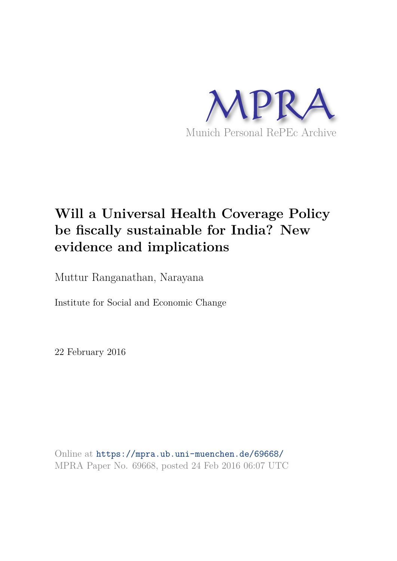

# **Will a Universal Health Coverage Policy be fiscally sustainable for India? New evidence and implications**

Muttur Ranganathan, Narayana

Institute for Social and Economic Change

22 February 2016

Online at https://mpra.ub.uni-muenchen.de/69668/ MPRA Paper No. 69668, posted 24 Feb 2016 06:07 UTC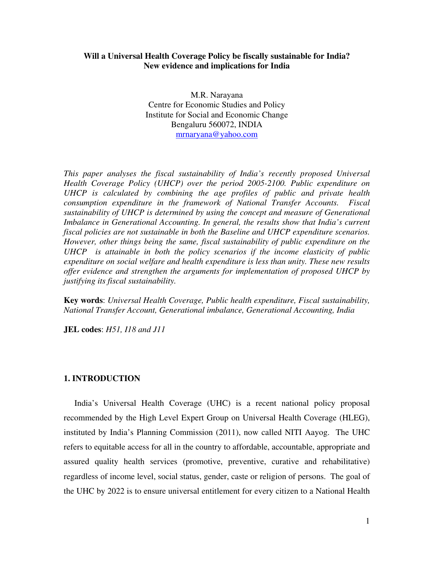# **Will a Universal Health Coverage Policy be fiscally sustainable for India? New evidence and implications for India**

M.R. Narayana Centre for Economic Studies and Policy Institute for Social and Economic Change Bengaluru 560072, INDIA mrnaryana@yahoo.com

*This paper analyses the fiscal sustainability of India's recently proposed Universal Health Coverage Policy (UHCP) over the period 2005-2100. Public expenditure on UHCP is calculated by combining the age profiles of public and private health consumption expenditure in the framework of National Transfer Accounts. Fiscal sustainability of UHCP is determined by using the concept and measure of Generational Imbalance in Generational Accounting. In general, the results show that India's current fiscal policies are not sustainable in both the Baseline and UHCP expenditure scenarios. However, other things being the same, fiscal sustainability of public expenditure on the UHCP is attainable in both the policy scenarios if the income elasticity of public expenditure on social welfare and health expenditure is less than unity. These new results offer evidence and strengthen the arguments for implementation of proposed UHCP by justifying its fiscal sustainability.* 

**Key words**: *Universal Health Coverage, Public health expenditure, Fiscal sustainability, National Transfer Account, Generational imbalance, Generational Accounting, India* 

**JEL codes**: *H51, I18 and J11* 

#### **1. INTRODUCTION**

 India's Universal Health Coverage (UHC) is a recent national policy proposal recommended by the High Level Expert Group on Universal Health Coverage (HLEG), instituted by India's Planning Commission (2011), now called NITI Aayog. The UHC refers to equitable access for all in the country to affordable, accountable, appropriate and assured quality health services (promotive, preventive, curative and rehabilitative) regardless of income level, social status, gender, caste or religion of persons. The goal of the UHC by 2022 is to ensure universal entitlement for every citizen to a National Health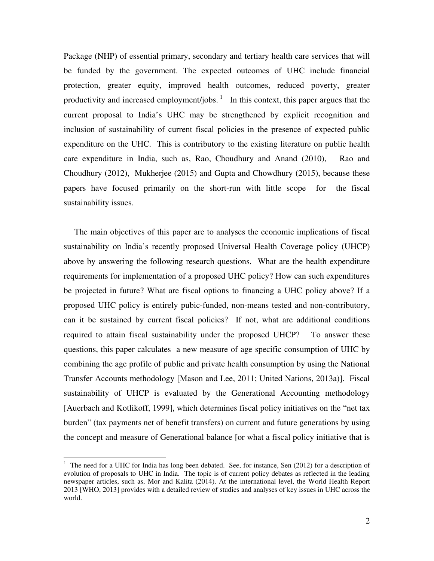Package (NHP) of essential primary, secondary and tertiary health care services that will be funded by the government. The expected outcomes of UHC include financial protection, greater equity, improved health outcomes, reduced poverty, greater productivity and increased employment/jobs.<sup>1</sup> In this context, this paper argues that the current proposal to India's UHC may be strengthened by explicit recognition and inclusion of sustainability of current fiscal policies in the presence of expected public expenditure on the UHC. This is contributory to the existing literature on public health care expenditure in India, such as, Rao, Choudhury and Anand (2010), Rao and Choudhury (2012), Mukherjee (2015) and Gupta and Chowdhury (2015), because these papers have focused primarily on the short-run with little scope for the fiscal sustainability issues.

 The main objectives of this paper are to analyses the economic implications of fiscal sustainability on India's recently proposed Universal Health Coverage policy (UHCP) above by answering the following research questions. What are the health expenditure requirements for implementation of a proposed UHC policy? How can such expenditures be projected in future? What are fiscal options to financing a UHC policy above? If a proposed UHC policy is entirely pubic-funded, non-means tested and non-contributory, can it be sustained by current fiscal policies? If not, what are additional conditions required to attain fiscal sustainability under the proposed UHCP? To answer these questions, this paper calculates a new measure of age specific consumption of UHC by combining the age profile of public and private health consumption by using the National Transfer Accounts methodology [Mason and Lee, 2011; United Nations, 2013a)]. Fiscal sustainability of UHCP is evaluated by the Generational Accounting methodology [Auerbach and Kotlikoff, 1999], which determines fiscal policy initiatives on the "net tax burden" (tax payments net of benefit transfers) on current and future generations by using the concept and measure of Generational balance [or what a fiscal policy initiative that is

<sup>&</sup>lt;sup>1</sup> The need for a UHC for India has long been debated. See, for instance, Sen (2012) for a description of evolution of proposals to UHC in India. The topic is of current policy debates as reflected in the leading newspaper articles, such as, Mor and Kalita (2014). At the international level, the World Health Report 2013 [WHO, 2013] provides with a detailed review of studies and analyses of key issues in UHC across the world.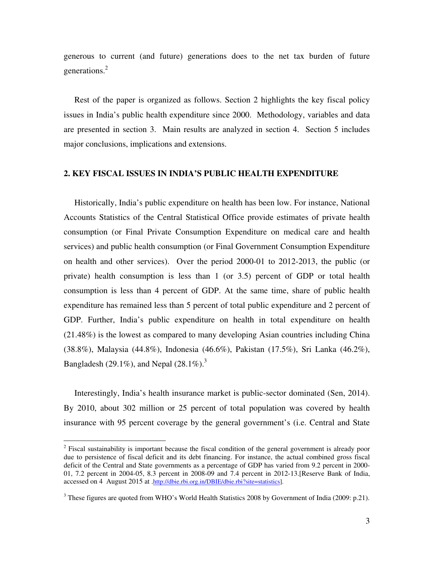generous to current (and future) generations does to the net tax burden of future generations.<sup>2</sup>

 Rest of the paper is organized as follows. Section 2 highlights the key fiscal policy issues in India's public health expenditure since 2000. Methodology, variables and data are presented in section 3. Main results are analyzed in section 4. Section 5 includes major conclusions, implications and extensions.

#### **2. KEY FISCAL ISSUES IN INDIA'S PUBLIC HEALTH EXPENDITURE**

 Historically, India's public expenditure on health has been low. For instance, National Accounts Statistics of the Central Statistical Office provide estimates of private health consumption (or Final Private Consumption Expenditure on medical care and health services) and public health consumption (or Final Government Consumption Expenditure on health and other services). Over the period 2000-01 to 2012-2013, the public (or private) health consumption is less than 1 (or 3.5) percent of GDP or total health consumption is less than 4 percent of GDP. At the same time, share of public health expenditure has remained less than 5 percent of total public expenditure and 2 percent of GDP. Further, India's public expenditure on health in total expenditure on health (21.48%) is the lowest as compared to many developing Asian countries including China (38.8%), Malaysia (44.8%), Indonesia (46.6%), Pakistan (17.5%), Sri Lanka (46.2%), Bangladesh (29.1%), and Nepal (28.1%).<sup>3</sup>

 Interestingly, India's health insurance market is public-sector dominated (Sen, 2014). By 2010, about 302 million or 25 percent of total population was covered by health insurance with 95 percent coverage by the general government's (i.e. Central and State

 $\overline{a}$ 

<sup>&</sup>lt;sup>2</sup> Fiscal sustainability is important because the fiscal condition of the general government is already poor due to persistence of fiscal deficit and its debt financing. For instance, the actual combined gross fiscal deficit of the Central and State governments as a percentage of GDP has varied from 9.2 percent in 2000- 01, 7.2 percent in 2004-05, 8.3 percent in 2008-09 and 7.4 percent in 2012-13.[Reserve Bank of India, accessed on 4 August 2015 at .http://dbie.rbi.org.in/DBIE/dbie.rbi?site=statistics].

 $3$  These figures are quoted from WHO's World Health Statistics 2008 by Government of India (2009: p.21).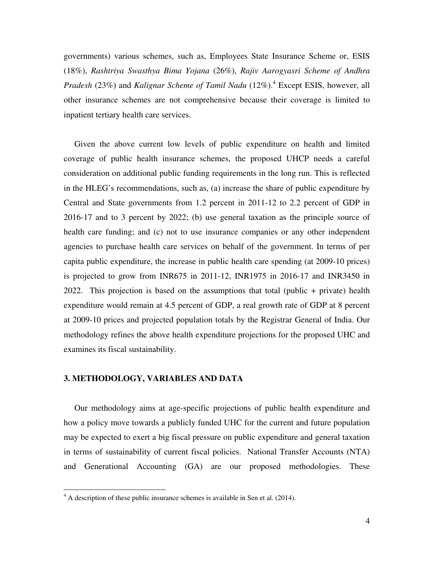governments) various schemes, such as, Employees State Insurance Scheme or, ESIS (18%), *Rashtriya Swasthya Bima Yojana* (26%), *Rajiv Aarogyasri Scheme of Andhra*  Pradesh (23%) and *Kalignar Scheme of Tamil Nadu* (12%).<sup>4</sup> Except ESIS, however, all other insurance schemes are not comprehensive because their coverage is limited to inpatient tertiary health care services.

 Given the above current low levels of public expenditure on health and limited coverage of public health insurance schemes, the proposed UHCP needs a careful consideration on additional public funding requirements in the long run. This is reflected in the HLEG's recommendations, such as, (a) increase the share of public expenditure by Central and State governments from 1.2 percent in 2011-12 to 2.2 percent of GDP in 2016-17 and to 3 percent by 2022; (b) use general taxation as the principle source of health care funding; and (c) not to use insurance companies or any other independent agencies to purchase health care services on behalf of the government. In terms of per capita public expenditure, the increase in public health care spending (at 2009-10 prices) is projected to grow from INR675 in 2011-12, INR1975 in 2016-17 and INR3450 in 2022. This projection is based on the assumptions that total (public + private) health expenditure would remain at 4.5 percent of GDP, a real growth rate of GDP at 8 percent at 2009-10 prices and projected population totals by the Registrar General of India. Our methodology refines the above health expenditure projections for the proposed UHC and examines its fiscal sustainability.

# **3. METHODOLOGY, VARIABLES AND DATA**

-

 Our methodology aims at age-specific projections of public health expenditure and how a policy move towards a publicly funded UHC for the current and future population may be expected to exert a big fiscal pressure on public expenditure and general taxation in terms of sustainability of current fiscal policies. National Transfer Accounts (NTA) and Generational Accounting (GA) are our proposed methodologies. These

<sup>&</sup>lt;sup>4</sup> A description of these public insurance schemes is available in Sen et al. (2014).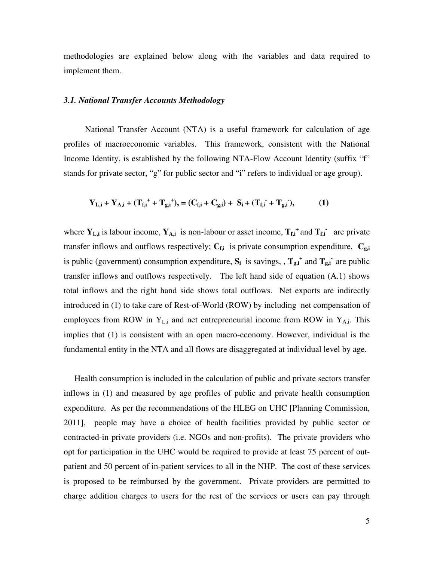methodologies are explained below along with the variables and data required to implement them.

# *3.1. National Transfer Accounts Methodology*

 National Transfer Account (NTA) is a useful framework for calculation of age profiles of macroeconomic variables. This framework, consistent with the National Income Identity, is established by the following NTA-Flow Account Identity (suffix "f" stands for private sector, "g" for public sector and "i" refers to individual or age group).

$$
Y_{L,i} + Y_{A,i} + (T_{f,i}^+ + T_{g,i}^+), = (C_{f,i} + C_{g,i}) + S_i + (T_{f,i}^+ + T_{g,i}^+),
$$
 (1)

where  $Y_{L,i}$  is labour income,  $Y_{A,i}$  is non-labour or asset income,  $T_{f,i}$ <sup>+</sup> and  $T_{f,i}$ <sup>-</sup> are private transfer inflows and outflows respectively;  $C_{f,i}$  is private consumption expenditure,  $C_{g,i}$ is public (government) consumption expenditure,  $S_i$  is savings, ,  $T_{g,i}$ <sup>+</sup> and  $T_{g,i}$ <sup>-</sup> are public transfer inflows and outflows respectively. The left hand side of equation (A.1) shows total inflows and the right hand side shows total outflows. Net exports are indirectly introduced in (1) to take care of Rest-of-World (ROW) by including net compensation of employees from ROW in  $Y_{\text{Li}}$  and net entrepreneurial income from ROW in  $Y_{\text{Ai}}$ . This implies that (1) is consistent with an open macro-economy. However, individual is the fundamental entity in the NTA and all flows are disaggregated at individual level by age.

 Health consumption is included in the calculation of public and private sectors transfer inflows in (1) and measured by age profiles of public and private health consumption expenditure. As per the recommendations of the HLEG on UHC [Planning Commission, 2011], people may have a choice of health facilities provided by public sector or contracted-in private providers (i.e. NGOs and non-profits). The private providers who opt for participation in the UHC would be required to provide at least 75 percent of outpatient and 50 percent of in-patient services to all in the NHP. The cost of these services is proposed to be reimbursed by the government. Private providers are permitted to charge addition charges to users for the rest of the services or users can pay through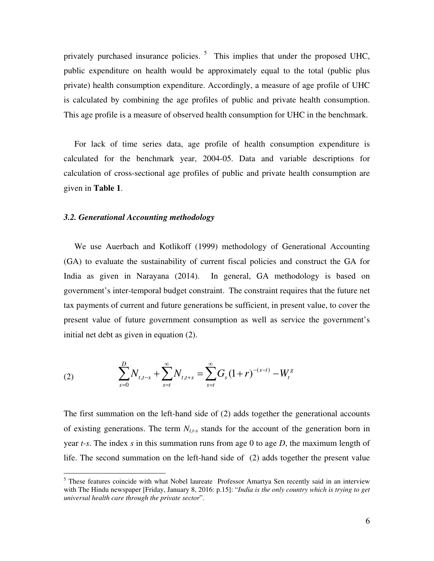privately purchased insurance policies.<sup>5</sup> This implies that under the proposed UHC, public expenditure on health would be approximately equal to the total (public plus private) health consumption expenditure. Accordingly, a measure of age profile of UHC is calculated by combining the age profiles of public and private health consumption. This age profile is a measure of observed health consumption for UHC in the benchmark.

 For lack of time series data, age profile of health consumption expenditure is calculated for the benchmark year, 2004-05. Data and variable descriptions for calculation of cross-sectional age profiles of public and private health consumption are given in **Table 1**.

#### *3.2. Generational Accounting methodology*

 We use Auerbach and Kotlikoff (1999) methodology of Generational Accounting (GA) to evaluate the sustainability of current fiscal policies and construct the GA for India as given in Narayana (2014). In general, GA methodology is based on government's inter-temporal budget constraint. The constraint requires that the future net tax payments of current and future generations be sufficient, in present value, to cover the present value of future government consumption as well as service the government's initial net debt as given in equation (2).

(2) 
$$
\sum_{s=0}^{D} N_{t,t-s} + \sum_{s=t}^{\infty} N_{t,t+s} = \sum_{s=t}^{\infty} G_s (1+r)^{-(s-t)} - W_t^g
$$

The first summation on the left-hand side of (2) adds together the generational accounts of existing generations. The term *Nt,t-s* stands for the account of the generation born in year *t-s*. The index *s* in this summation runs from age 0 to age *D*, the maximum length of life. The second summation on the left-hand side of (2) adds together the present value

<sup>&</sup>lt;sup>5</sup> These features coincide with what Nobel laureate Professor Amartya Sen recently said in an interview with The Hindu newspaper [Friday, January 8, 2016: p.15]: "*India is the only country which is trying to get universal health care through the private sector*".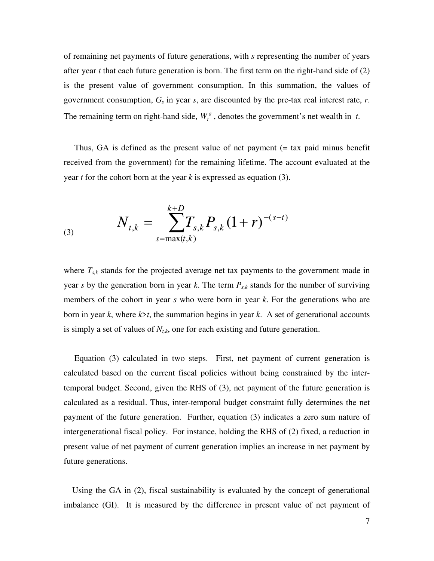of remaining net payments of future generations, with *s* representing the number of years after year *t* that each future generation is born. The first term on the right-hand side of (2) is the present value of government consumption. In this summation, the values of government consumption, *Gs* in year *s*, are discounted by the pre-tax real interest rate, *r*. The remaining term on right-hand side,  $W_t^g$ , denotes the government's net wealth in *t*.

 Thus, GA is defined as the present value of net payment (= tax paid minus benefit received from the government) for the remaining lifetime. The account evaluated at the year *t* for the cohort born at the year *k* is expressed as equation (3).

(3) 
$$
N_{t,k} = \sum_{s=\max(t,k)}^{k+D} T_{s,k} P_{s,k} (1+r)^{-(s-t)}
$$

where  $T_{s,k}$  stands for the projected average net tax payments to the government made in year *s* by the generation born in year *k*. The term *Ps,k* stands for the number of surviving members of the cohort in year *s* who were born in year *k*. For the generations who are born in year *k*, where *k*>*t*, the summation begins in year *k*. A set of generational accounts is simply a set of values of  $N_{t,k}$ , one for each existing and future generation.

 Equation (3) calculated in two steps. First, net payment of current generation is calculated based on the current fiscal policies without being constrained by the intertemporal budget. Second, given the RHS of (3), net payment of the future generation is calculated as a residual. Thus, inter-temporal budget constraint fully determines the net payment of the future generation. Further, equation (3) indicates a zero sum nature of intergenerational fiscal policy. For instance, holding the RHS of (2) fixed, a reduction in present value of net payment of current generation implies an increase in net payment by future generations.

 Using the GA in (2), fiscal sustainability is evaluated by the concept of generational imbalance (GI). It is measured by the difference in present value of net payment of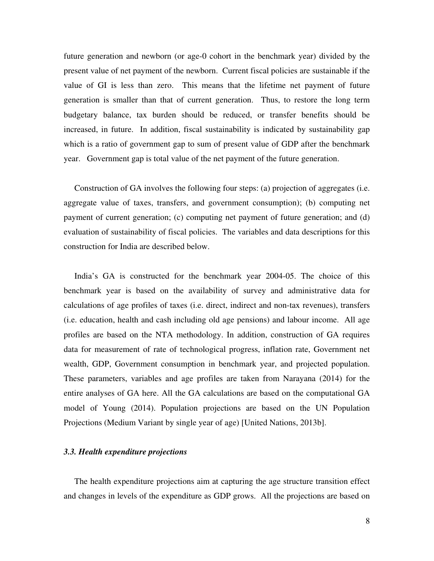future generation and newborn (or age-0 cohort in the benchmark year) divided by the present value of net payment of the newborn. Current fiscal policies are sustainable if the value of GI is less than zero. This means that the lifetime net payment of future generation is smaller than that of current generation. Thus, to restore the long term budgetary balance, tax burden should be reduced, or transfer benefits should be increased, in future. In addition, fiscal sustainability is indicated by sustainability gap which is a ratio of government gap to sum of present value of GDP after the benchmark year. Government gap is total value of the net payment of the future generation.

 Construction of GA involves the following four steps: (a) projection of aggregates (i.e. aggregate value of taxes, transfers, and government consumption); (b) computing net payment of current generation; (c) computing net payment of future generation; and (d) evaluation of sustainability of fiscal policies. The variables and data descriptions for this construction for India are described below.

 India's GA is constructed for the benchmark year 2004-05. The choice of this benchmark year is based on the availability of survey and administrative data for calculations of age profiles of taxes (i.e. direct, indirect and non-tax revenues), transfers (i.e. education, health and cash including old age pensions) and labour income. All age profiles are based on the NTA methodology. In addition, construction of GA requires data for measurement of rate of technological progress, inflation rate, Government net wealth, GDP, Government consumption in benchmark year, and projected population. These parameters, variables and age profiles are taken from Narayana (2014) for the entire analyses of GA here. All the GA calculations are based on the computational GA model of Young (2014). Population projections are based on the UN Population Projections (Medium Variant by single year of age) [United Nations, 2013b].

# *3.3. Health expenditure projections*

 The health expenditure projections aim at capturing the age structure transition effect and changes in levels of the expenditure as GDP grows. All the projections are based on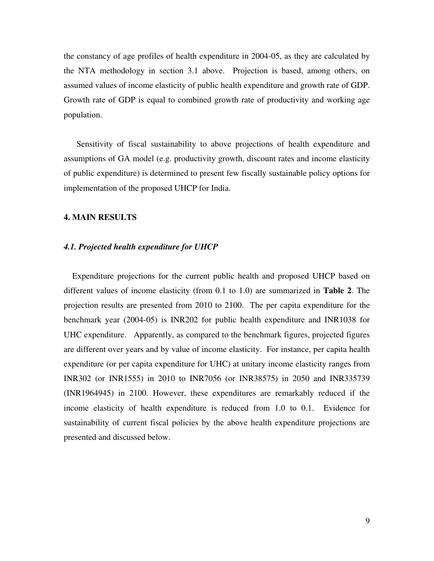the constancy of age profiles of health expenditure in 2004-05, as they are calculated by the NTA methodology in section 3.1 above. Projection is based, among others, on assumed values of income elasticity of public health expenditure and growth rate of GDP. Growth rate of GDP is equal to combined growth rate of productivity and working age population.

 Sensitivity of fiscal sustainability to above projections of health expenditure and assumptions of GA model (e.g. productivity growth, discount rates and income elasticity of public expenditure) is determined to present few fiscally sustainable policy options for implementation of the proposed UHCP for India.

#### **4. MAIN RESULTS**

## *4.1. Projected health expenditure for UHCP*

 Expenditure projections for the current public health and proposed UHCP based on different values of income elasticity (from 0.1 to 1.0) are summarized in **Table 2**. The projection results are presented from 2010 to 2100. The per capita expenditure for the benchmark year (2004-05) is INR202 for public health expenditure and INR1038 for UHC expenditure. Apparently, as compared to the benchmark figures, projected figures are different over years and by value of income elasticity. For instance, per capita health expenditure (or per capita expenditure for UHC) at unitary income elasticity ranges from INR302 (or INR1555) in 2010 to INR7056 (or INR38575) in 2050 and INR335739 (INR1964945) in 2100. However, these expenditures are remarkably reduced if the income elasticity of health expenditure is reduced from 1.0 to 0.1. Evidence for sustainability of current fiscal policies by the above health expenditure projections are presented and discussed below.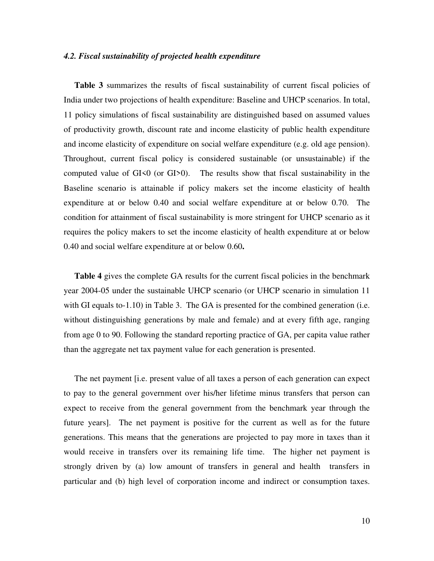#### *4.2. Fiscal sustainability of projected health expenditure*

Table 3 summarizes the results of fiscal sustainability of current fiscal policies of India under two projections of health expenditure: Baseline and UHCP scenarios. In total, 11 policy simulations of fiscal sustainability are distinguished based on assumed values of productivity growth, discount rate and income elasticity of public health expenditure and income elasticity of expenditure on social welfare expenditure (e.g. old age pension). Throughout, current fiscal policy is considered sustainable (or unsustainable) if the computed value of  $GI<0$  (or  $GI>0$ ). The results show that fiscal sustainability in the Baseline scenario is attainable if policy makers set the income elasticity of health expenditure at or below 0.40 and social welfare expenditure at or below 0.70. The condition for attainment of fiscal sustainability is more stringent for UHCP scenario as it requires the policy makers to set the income elasticity of health expenditure at or below 0.40 and social welfare expenditure at or below 0.60**.** 

**Table 4** gives the complete GA results for the current fiscal policies in the benchmark year 2004-05 under the sustainable UHCP scenario (or UHCP scenario in simulation 11 with GI equals to-1.10) in Table 3. The GA is presented for the combined generation (i.e. without distinguishing generations by male and female) and at every fifth age, ranging from age 0 to 90. Following the standard reporting practice of GA, per capita value rather than the aggregate net tax payment value for each generation is presented.

 The net payment [i.e. present value of all taxes a person of each generation can expect to pay to the general government over his/her lifetime minus transfers that person can expect to receive from the general government from the benchmark year through the future years]. The net payment is positive for the current as well as for the future generations. This means that the generations are projected to pay more in taxes than it would receive in transfers over its remaining life time. The higher net payment is strongly driven by (a) low amount of transfers in general and health transfers in particular and (b) high level of corporation income and indirect or consumption taxes.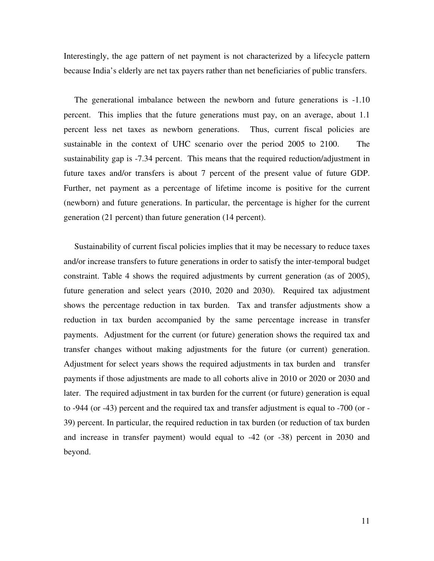Interestingly, the age pattern of net payment is not characterized by a lifecycle pattern because India's elderly are net tax payers rather than net beneficiaries of public transfers.

 The generational imbalance between the newborn and future generations is -1.10 percent. This implies that the future generations must pay, on an average, about 1.1 percent less net taxes as newborn generations. Thus, current fiscal policies are sustainable in the context of UHC scenario over the period 2005 to 2100. The sustainability gap is -7.34 percent. This means that the required reduction/adjustment in future taxes and/or transfers is about 7 percent of the present value of future GDP. Further, net payment as a percentage of lifetime income is positive for the current (newborn) and future generations. In particular, the percentage is higher for the current generation (21 percent) than future generation (14 percent).

 Sustainability of current fiscal policies implies that it may be necessary to reduce taxes and/or increase transfers to future generations in order to satisfy the inter-temporal budget constraint. Table 4 shows the required adjustments by current generation (as of 2005), future generation and select years (2010, 2020 and 2030). Required tax adjustment shows the percentage reduction in tax burden. Tax and transfer adjustments show a reduction in tax burden accompanied by the same percentage increase in transfer payments. Adjustment for the current (or future) generation shows the required tax and transfer changes without making adjustments for the future (or current) generation. Adjustment for select years shows the required adjustments in tax burden and transfer payments if those adjustments are made to all cohorts alive in 2010 or 2020 or 2030 and later. The required adjustment in tax burden for the current (or future) generation is equal to -944 (or -43) percent and the required tax and transfer adjustment is equal to -700 (or - 39) percent. In particular, the required reduction in tax burden (or reduction of tax burden and increase in transfer payment) would equal to -42 (or -38) percent in 2030 and beyond.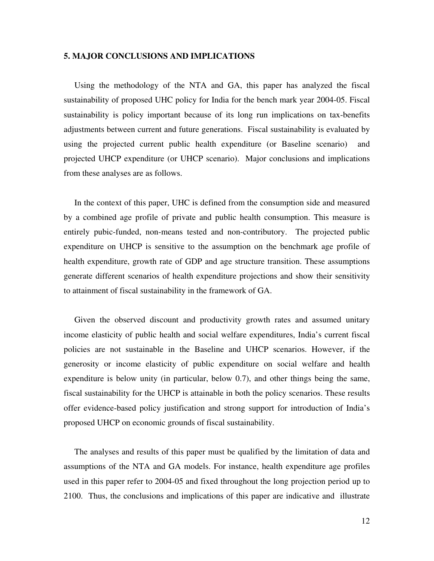# **5. MAJOR CONCLUSIONS AND IMPLICATIONS**

 Using the methodology of the NTA and GA, this paper has analyzed the fiscal sustainability of proposed UHC policy for India for the bench mark year 2004-05. Fiscal sustainability is policy important because of its long run implications on tax-benefits adjustments between current and future generations. Fiscal sustainability is evaluated by using the projected current public health expenditure (or Baseline scenario) and projected UHCP expenditure (or UHCP scenario). Major conclusions and implications from these analyses are as follows.

 In the context of this paper, UHC is defined from the consumption side and measured by a combined age profile of private and public health consumption. This measure is entirely pubic-funded, non-means tested and non-contributory. The projected public expenditure on UHCP is sensitive to the assumption on the benchmark age profile of health expenditure, growth rate of GDP and age structure transition. These assumptions generate different scenarios of health expenditure projections and show their sensitivity to attainment of fiscal sustainability in the framework of GA.

 Given the observed discount and productivity growth rates and assumed unitary income elasticity of public health and social welfare expenditures, India's current fiscal policies are not sustainable in the Baseline and UHCP scenarios. However, if the generosity or income elasticity of public expenditure on social welfare and health expenditure is below unity (in particular, below 0.7), and other things being the same, fiscal sustainability for the UHCP is attainable in both the policy scenarios. These results offer evidence-based policy justification and strong support for introduction of India's proposed UHCP on economic grounds of fiscal sustainability.

 The analyses and results of this paper must be qualified by the limitation of data and assumptions of the NTA and GA models. For instance, health expenditure age profiles used in this paper refer to 2004-05 and fixed throughout the long projection period up to 2100. Thus, the conclusions and implications of this paper are indicative and illustrate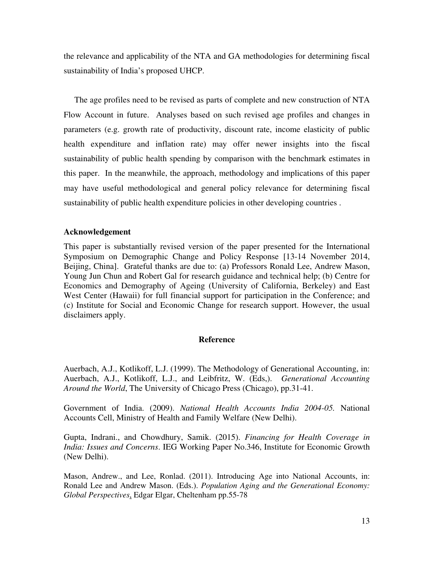the relevance and applicability of the NTA and GA methodologies for determining fiscal sustainability of India's proposed UHCP.

 The age profiles need to be revised as parts of complete and new construction of NTA Flow Account in future. Analyses based on such revised age profiles and changes in parameters (e.g. growth rate of productivity, discount rate, income elasticity of public health expenditure and inflation rate) may offer newer insights into the fiscal sustainability of public health spending by comparison with the benchmark estimates in this paper. In the meanwhile, the approach, methodology and implications of this paper may have useful methodological and general policy relevance for determining fiscal sustainability of public health expenditure policies in other developing countries .

# **Acknowledgement**

This paper is substantially revised version of the paper presented for the International Symposium on Demographic Change and Policy Response [13-14 November 2014, Beijing, China]. Grateful thanks are due to: (a) Professors Ronald Lee, Andrew Mason, Young Jun Chun and Robert Gal for research guidance and technical help; (b) Centre for Economics and Demography of Ageing (University of California, Berkeley) and East West Center (Hawaii) for full financial support for participation in the Conference; and (c) Institute for Social and Economic Change for research support. However, the usual disclaimers apply.

# **Reference**

Auerbach, A.J., Kotlikoff, L.J. (1999). The Methodology of Generational Accounting, in: Auerbach, A.J., Kotlikoff, L.J., and Leibfritz, W. (Eds,). *Generational Accounting Around the World*, The University of Chicago Press (Chicago), pp.31-41.

Government of India. (2009). *National Health Accounts India 2004-05.* National Accounts Cell, Ministry of Health and Family Welfare (New Delhi).

Gupta, Indrani., and Chowdhury, Samik. (2015). *Financing for Health Coverage in India: Issues and Concerns*. IEG Working Paper No.346, Institute for Economic Growth (New Delhi).

Mason, Andrew., and Lee, Ronlad. (2011). Introducing Age into National Accounts, in: Ronald Lee and Andrew Mason. (Eds.). *Population Aging and the Generational Economy: Global Perspectives*, Edgar Elgar, Cheltenham pp.55-78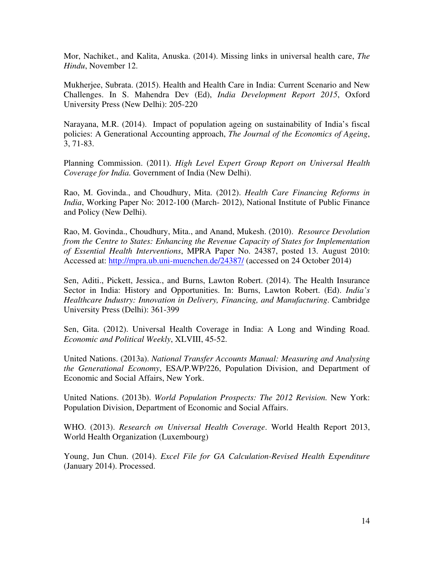Mor, Nachiket., and Kalita, Anuska. (2014). Missing links in universal health care, *The Hindu*, November 12.

Mukherjee, Subrata. (2015). Health and Health Care in India: Current Scenario and New Challenges. In S. Mahendra Dev (Ed), *India Development Report 2015*, Oxford University Press (New Delhi): 205-220

Narayana, M.R. (2014). Impact of population ageing on sustainability of India's fiscal policies: A Generational Accounting approach, *The Journal of the Economics of Ageing*, 3, 71-83.

Planning Commission. (2011). *High Level Expert Group Report on Universal Health Coverage for India.* Government of India (New Delhi).

Rao, M. Govinda., and Choudhury, Mita. (2012). *Health Care Financing Reforms in India*, Working Paper No: 2012-100 (March- 2012), National Institute of Public Finance and Policy (New Delhi).

Rao, M. Govinda., Choudhury, Mita., and Anand, Mukesh. (2010). *Resource Devolution from the Centre to States: Enhancing the Revenue Capacity of States for Implementation of Essential Health Interventions*, MPRA Paper No. 24387, posted 13. August 2010: Accessed at: http://mpra.ub.uni-muenchen.de/24387/ (accessed on 24 October 2014)

Sen, Aditi., Pickett, Jessica., and Burns, Lawton Robert. (2014). The Health Insurance Sector in India: History and Opportunities. In: Burns, Lawton Robert. (Ed). *India's Healthcare Industry: Innovation in Delivery, Financing, and Manufacturing*. Cambridge University Press (Delhi): 361-399

Sen, Gita. (2012). Universal Health Coverage in India: A Long and Winding Road. *Economic and Political Weekly*, XLVIII, 45-52.

United Nations. (2013a). *National Transfer Accounts Manual: Measuring and Analysing the Generational Economy*, ESA/P.WP/226, Population Division, and Department of Economic and Social Affairs, New York.

United Nations. (2013b). *World Population Prospects: The 2012 Revision.* New York: Population Division, Department of Economic and Social Affairs.

WHO. (2013). *Research on Universal Health Coverage*. World Health Report 2013, World Health Organization (Luxembourg)

Young, Jun Chun. (2014). *Excel File for GA Calculation-Revised Health Expenditure* (January 2014). Processed.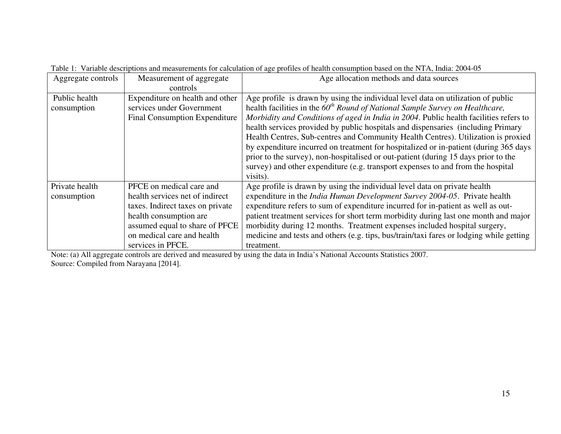| Aggregate controls | Measurement of aggregate             | Age allocation methods and data sources                                                 |
|--------------------|--------------------------------------|-----------------------------------------------------------------------------------------|
|                    | controls                             |                                                                                         |
| Public health      | Expenditure on health and other      | Age profile is drawn by using the individual level data on utilization of public        |
| consumption        | services under Government            | health facilities in the $60th$ Round of National Sample Survey on Healthcare,          |
|                    | <b>Final Consumption Expenditure</b> | Morbidity and Conditions of aged in India in 2004. Public health facilities refers to   |
|                    |                                      | health services provided by public hospitals and dispensaries (including Primary        |
|                    |                                      | Health Centres, Sub-centres and Community Health Centres). Utilization is proxied       |
|                    |                                      | by expenditure incurred on treatment for hospitalized or in-patient (during 365 days    |
|                    |                                      | prior to the survey), non-hospitalised or out-patient (during 15 days prior to the      |
|                    |                                      | survey) and other expenditure (e.g. transport expenses to and from the hospital         |
|                    |                                      | visits).                                                                                |
| Private health     | PFCE on medical care and             | Age profile is drawn by using the individual level data on private health               |
| consumption        | health services net of indirect      | expenditure in the <i>India Human Development Survey 2004-05</i> . Private health       |
|                    | taxes. Indirect taxes on private     | expenditure refers to sum of expenditure incurred for in-patient as well as out-        |
|                    | health consumption are               | patient treatment services for short term morbidity during last one month and major     |
|                    | assumed equal to share of PFCE       | morbidity during 12 months. Treatment expenses included hospital surgery,               |
|                    | on medical care and health           | medicine and tests and others (e.g. tips, bus/train/taxi fares or lodging while getting |
|                    | services in PFCE.                    | treatment.                                                                              |

Table 1: Variable descriptions and measurements for calculation of age profiles of health consumption based on the NTA, India: 2004-05

Note: (a) All aggregate controls are derived and measured by using the data in India's National Accounts Statistics 2007. Source: Compiled from Narayana [2014].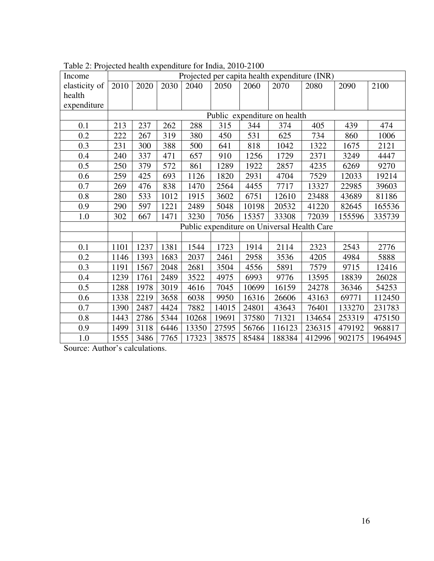| Income        | ovec nomin onp<br>Projected per capita health expenditure (INR) |                          |      |       |       |       |                                             |        |        |         |
|---------------|-----------------------------------------------------------------|--------------------------|------|-------|-------|-------|---------------------------------------------|--------|--------|---------|
| elasticity of | 2010                                                            | 2020                     | 2030 | 2040  | 2050  | 2060  | 2070                                        | 2080   | 2090   | 2100    |
| health        |                                                                 |                          |      |       |       |       |                                             |        |        |         |
| expenditure   |                                                                 |                          |      |       |       |       |                                             |        |        |         |
|               | Public expenditure on health                                    |                          |      |       |       |       |                                             |        |        |         |
| 0.1           | 213                                                             | 237<br>262<br>288<br>315 |      |       |       | 344   | 374                                         | 405    | 439    | 474     |
| 0.2           | 222                                                             | 267                      | 319  | 380   | 450   | 531   | 625                                         | 734    | 860    | 1006    |
| 0.3           | 231                                                             | 300                      | 388  | 500   | 641   | 818   | 1042                                        | 1322   | 1675   | 2121    |
| 0.4           | 240                                                             | 337                      | 471  | 657   | 910   | 1256  | 1729                                        | 2371   | 3249   | 4447    |
| 0.5           | 250                                                             | 379                      | 572  | 861   | 1289  | 1922  | 2857                                        | 4235   | 6269   | 9270    |
| 0.6           | 259                                                             | 425                      | 693  | 1126  | 1820  | 2931  | 4704                                        | 7529   | 12033  | 19214   |
| 0.7           | 269                                                             | 476                      | 838  | 1470  | 2564  | 4455  | 7717                                        | 13327  | 22985  | 39603   |
| 0.8           | 280                                                             | 533                      | 1012 | 1915  | 3602  | 6751  | 12610                                       | 23488  | 43689  | 81186   |
| 0.9           | 290                                                             | 597                      | 1221 | 2489  | 5048  | 10198 | 20532                                       | 41220  | 82645  | 165536  |
| 1.0           | 302                                                             | 667                      | 1471 | 3230  | 7056  | 15357 | 33308                                       | 72039  | 155596 | 335739  |
|               |                                                                 |                          |      |       |       |       | Public expenditure on Universal Health Care |        |        |         |
|               |                                                                 |                          |      |       |       |       |                                             |        |        |         |
| 0.1           | 1101                                                            | 1237                     | 1381 | 1544  | 1723  | 1914  | 2114                                        | 2323   | 2543   | 2776    |
| 0.2           | 1146                                                            | 1393                     | 1683 | 2037  | 2461  | 2958  | 3536                                        | 4205   | 4984   | 5888    |
| 0.3           | 1191                                                            | 1567                     | 2048 | 2681  | 3504  | 4556  | 5891                                        | 7579   | 9715   | 12416   |
| 0.4           | 1239                                                            | 1761                     | 2489 | 3522  | 4975  | 6993  | 9776                                        | 13595  | 18839  | 26028   |
| 0.5           | 1288                                                            | 1978                     | 3019 | 4616  | 7045  | 10699 | 16159                                       | 24278  | 36346  | 54253   |
| 0.6           | 1338                                                            | 2219                     | 3658 | 6038  | 9950  | 16316 | 26606                                       | 43163  | 69771  | 112450  |
| 0.7           | 1390                                                            | 2487                     | 4424 | 7882  | 14015 | 24801 | 43643                                       | 76401  | 133270 | 231783  |
| 0.8           | 1443                                                            | 2786                     | 5344 | 10268 | 19691 | 37580 | 71321                                       | 134654 | 253319 | 475150  |
| 0.9           | 1499                                                            | 3118                     | 6446 | 13350 | 27595 | 56766 | 116123                                      | 236315 | 479192 | 968817  |
| 1.0           | 1555                                                            | 3486                     | 7765 | 17323 | 38575 | 85484 | 188384                                      | 412996 | 902175 | 1964945 |

Table 2: Projected health expenditure for India, 2010-2100

Source: Author's calculations.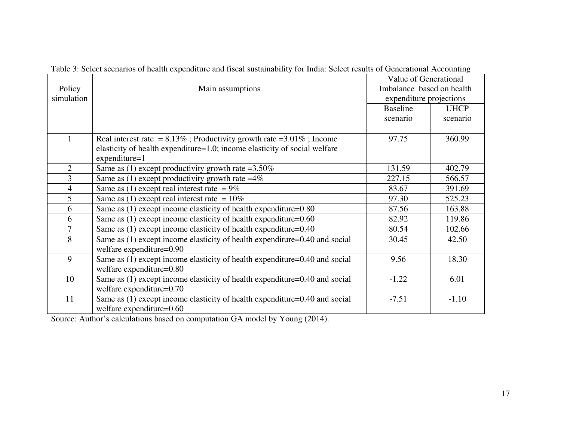|                |                                                                              | Value of Generational     |             |  |  |
|----------------|------------------------------------------------------------------------------|---------------------------|-------------|--|--|
| Policy         | Main assumptions                                                             | Imbalance based on health |             |  |  |
| simulation     |                                                                              | expenditure projections   |             |  |  |
|                |                                                                              | <b>Baseline</b>           | <b>UHCP</b> |  |  |
|                |                                                                              | scenario                  | scenario    |  |  |
|                |                                                                              |                           |             |  |  |
|                | Real interest rate = $8.13\%$ ; Productivity growth rate = $3.01\%$ ; Income | 97.75                     | 360.99      |  |  |
|                | elasticity of health expenditure=1.0; income elasticity of social welfare    |                           |             |  |  |
|                | $expenditure=1$                                                              |                           |             |  |  |
| $\overline{2}$ | Same as (1) except productivity growth rate = $3.50\%$                       | 131.59                    | 402.79      |  |  |
| 3              | Same as (1) except productivity growth rate $=4\%$                           | 227.15                    | 566.57      |  |  |
| 4              | Same as (1) except real interest rate = $9\%$                                | 83.67                     | 391.69      |  |  |
| 5              | Same as (1) except real interest rate = $10\%$                               | 97.30                     | 525.23      |  |  |
| 6              | Same as (1) except income elasticity of health expenditure=0.80              | 87.56                     | 163.88      |  |  |
| 6              | Same as $(1)$ except income elasticity of health expenditure= $0.60$         | 82.92                     | 119.86      |  |  |
| $\overline{7}$ | Same as $(1)$ except income elasticity of health expenditure=0.40            | 80.54                     | 102.66      |  |  |
| 8              | Same as (1) except income elasticity of health expenditure=0.40 and social   | 30.45                     | 42.50       |  |  |
|                | welfare expenditure=0.90                                                     |                           |             |  |  |
| 9              | Same as (1) except income elasticity of health expenditure=0.40 and social   | 9.56                      | 18.30       |  |  |
|                | welfare expenditure=0.80                                                     |                           |             |  |  |
| 10             | Same as (1) except income elasticity of health expenditure=0.40 and social   | $-1.22$                   | 6.01        |  |  |
|                | welfare expenditure=0.70                                                     |                           |             |  |  |
| 11             | Same as (1) except income elasticity of health expenditure=0.40 and social   | $-7.51$                   | $-1.10$     |  |  |
|                | welfare expenditure=0.60                                                     |                           |             |  |  |

Table 3: Select scenarios of health expenditure and fiscal sustainability for India: Select results of Generational Accounting

Source: Author's calculations based on computation GA model by Young (2014).